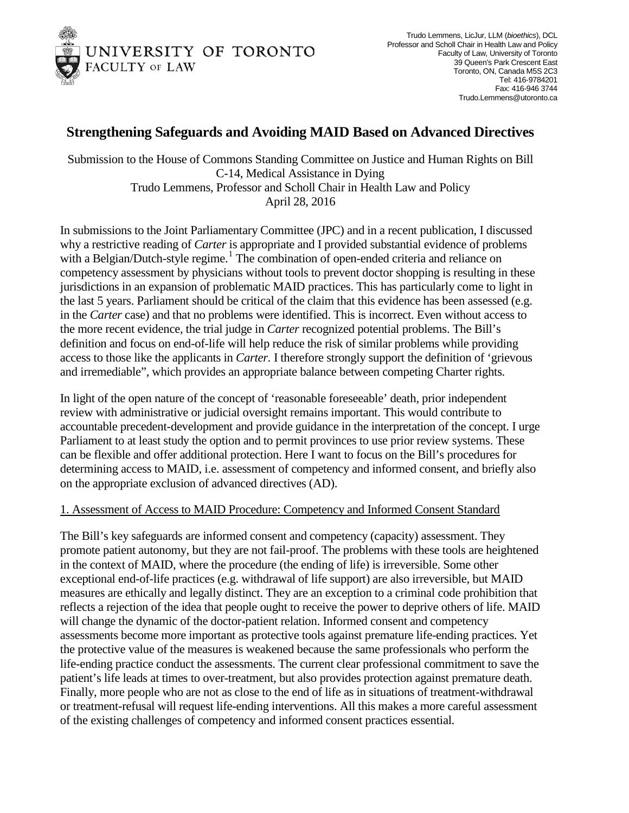

## **Strengthening Safeguards and Avoiding MAID Based on Advanced Directives**

Submission to the House of Commons Standing Committee on Justice and Human Rights on Bill C-14, Medical Assistance in Dying Trudo Lemmens, Professor and Scholl Chair in Health Law and Policy April 28, 2016

In submissions to the Joint Parliamentary Committee (JPC) and in a recent publication, I discussed why a restrictive reading of *Carter* is appropriate and I provided substantial evidence of problems with a Belgian/Dutch-style regime.<sup>[1](#page-2-0)</sup> The combination of open-ended criteria and reliance on competency assessment by physicians without tools to prevent doctor shopping is resulting in these jurisdictions in an expansion of problematic MAID practices. This has particularly come to light in the last 5 years. Parliament should be critical of the claim that this evidence has been assessed (e.g. in the *Carter* case) and that no problems were identified. This is incorrect. Even without access to the more recent evidence, the trial judge in *Carter* recognized potential problems. The Bill's definition and focus on end-of-life will help reduce the risk of similar problems while providing access to those like the applicants in *Carter.* I therefore strongly support the definition of 'grievous and irremediable", which provides an appropriate balance between competing Charter rights.

In light of the open nature of the concept of 'reasonable foreseeable' death, prior independent review with administrative or judicial oversight remains important. This would contribute to accountable precedent-development and provide guidance in the interpretation of the concept. I urge Parliament to at least study the option and to permit provinces to use prior review systems. These can be flexible and offer additional protection. Here I want to focus on the Bill's procedures for determining access to MAID, i.e. assessment of competency and informed consent, and briefly also on the appropriate exclusion of advanced directives (AD).

## 1. Assessment of Access to MAID Procedure: Competency and Informed Consent Standard

The Bill's key safeguards are informed consent and competency (capacity) assessment. They promote patient autonomy, but they are not fail-proof. The problems with these tools are heightened in the context of MAID, where the procedure (the ending of life) is irreversible. Some other exceptional end-of-life practices (e.g. withdrawal of life support) are also irreversible, but MAID measures are ethically and legally distinct. They are an exception to a criminal code prohibition that reflects a rejection of the idea that people ought to receive the power to deprive others of life. MAID will change the dynamic of the doctor-patient relation. Informed consent and competency assessments become more important as protective tools against premature life-ending practices. Yet the protective value of the measures is weakened because the same professionals who perform the life-ending practice conduct the assessments. The current clear professional commitment to save the patient's life leads at times to over-treatment, but also provides protection against premature death. Finally, more people who are not as close to the end of life as in situations of treatment-withdrawal or treatment-refusal will request life-ending interventions. All this makes a more careful assessment of the existing challenges of competency and informed consent practices essential.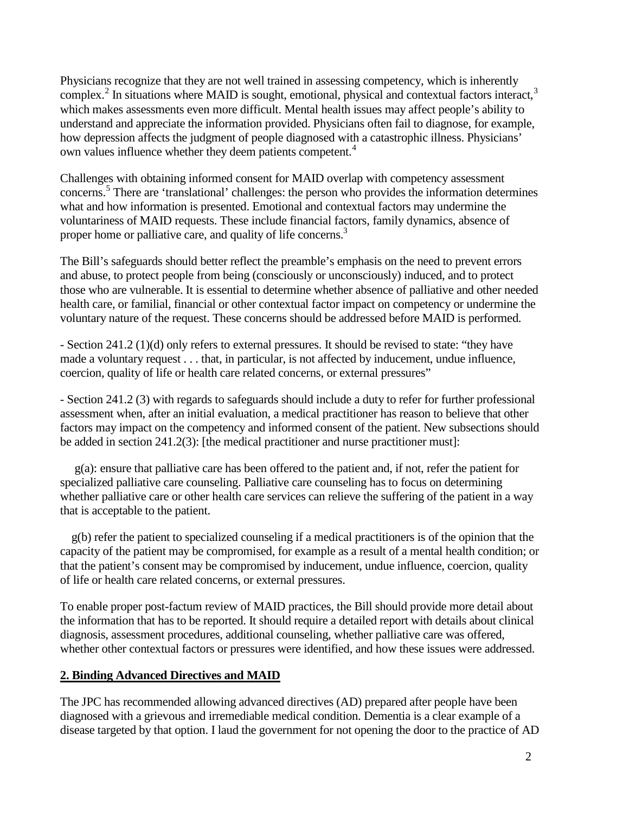Physicians recognize that they are not well trained in assessing competency, which is inherently complex.<sup>[2](#page-2-1)</sup> In situations where MAID is sought, emotional, physical and contextual factors interact,<sup>[3](#page-2-2)</sup> which makes assessments even more difficult. Mental health issues may affect people's ability to understand and appreciate the information provided. Physicians often fail to diagnose, for example, how depression affects the judgment of people diagnosed with a catastrophic illness. Physicians' own values influence whether they deem patients competent.<sup>[4](#page-2-3)</sup>

Challenges with obtaining informed consent for MAID overlap with competency assessment concerns. [5](#page-2-4) There are 'translational' challenges: the person who provides the information determines what and how information is presented. Emotional and contextual factors may undermine the voluntariness of MAID requests. These include financial factors, family dynamics, absence of proper home or palliative care, and quality of life concerns.<sup>3</sup>

The Bill's safeguards should better reflect the preamble's emphasis on the need to prevent errors and abuse, to protect people from being (consciously or unconsciously) induced, and to protect those who are vulnerable. It is essential to determine whether absence of palliative and other needed health care, or familial, financial or other contextual factor impact on competency or undermine the voluntary nature of the request. These concerns should be addressed before MAID is performed.

- Section 241.2 (1)(d) only refers to external pressures. It should be revised to state: "they have made a voluntary request . . . that, in particular, is not affected by inducement, undue influence, coercion, quality of life or health care related concerns, or external pressures"

- Section 241.2 (3) with regards to safeguards should include a duty to refer for further professional assessment when, after an initial evaluation, a medical practitioner has reason to believe that other factors may impact on the competency and informed consent of the patient. New subsections should be added in section 241.2(3): [the medical practitioner and nurse practitioner must]:

g(a): ensure that palliative care has been offered to the patient and, if not, refer the patient for specialized palliative care counseling. Palliative care counseling has to focus on determining whether palliative care or other health care services can relieve the suffering of the patient in a way that is acceptable to the patient.

g(b) refer the patient to specialized counseling if a medical practitioners is of the opinion that the capacity of the patient may be compromised, for example as a result of a mental health condition; or that the patient's consent may be compromised by inducement, undue influence, coercion, quality of life or health care related concerns, or external pressures.

To enable proper post-factum review of MAID practices, the Bill should provide more detail about the information that has to be reported. It should require a detailed report with details about clinical diagnosis, assessment procedures, additional counseling, whether palliative care was offered, whether other contextual factors or pressures were identified, and how these issues were addressed.

## **2. Binding Advanced Directives and MAID**

The JPC has recommended allowing advanced directives (AD) prepared after people have been diagnosed with a grievous and irremediable medical condition. Dementia is a clear example of a disease targeted by that option. I laud the government for not opening the door to the practice of AD